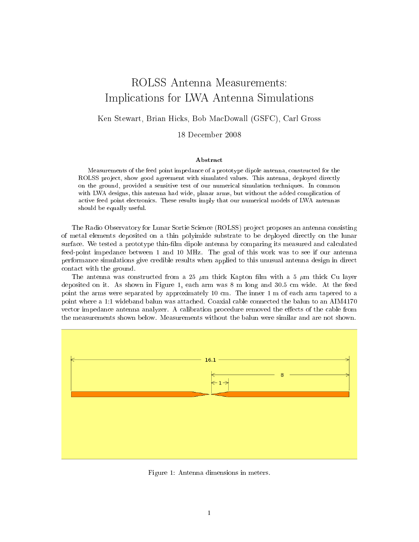## ROLSS Antenna Measurements: Impli
ations for LWA Antenna Simulations

Ken Stewart, Brian Hi
ks, Bob Ma
Dowall (GSFC), Carl Gross

<sup>18</sup> De
ember <sup>2008</sup>

## Abstra
t

Measurements of the feed point impedance of a prototype dipole antenna, constructed for the ROLSS project, show good agreement with simulated values. This antenna, deployed directly on the ground, provided a sensitive test of our numeri
al simulation te
hniques. In ommon with LWA designs, this antenna had wide, planar arms, but without the added complication of a
tive feed point ele
troni
s. These results imply that our numeri
al models of LWA antennas should be equally useful.

The Radio Observatory for Lunar Sortie Science (ROLSS) project proposes an antenna consisting of metal elements deposited on a thin polyimide substrate to be deployed directly on the lunar surface. We tested a prototype thin-film dipole antenna by comparing its measured and calculated feed-point impedan
e between 1 and 10 MHz. The goal of this work was to see if our antenna performan
e simulations give redible results when applied to this unusual antenna design in dire
t onta
t with the ground.

The antenna was constructed from a 25  $\mu$ m thick Kapton film with a 5  $\mu$ m thick Cu layer deposited on it. As shown in Figure 1, ea
h arm was 8 m long and 30.5 m wide. At the feed point the arms were separated by approximately 10 m. The inner 1 m of ea
h arm tapered to a point where a 1:1 wideband balun was attached. Coaxial cable connected the balun to an AIM4170 vector impedance antenna analyzer. A calibration procedure removed the effects of the cable from the measurements shown below. Measurements without the balun were similar and are not shown.



Figure 1: Antenna dimensions in meters.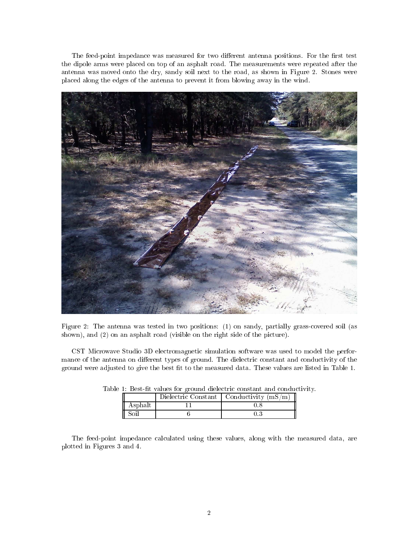The feed-point impedance was measured for two different antenna positions. For the first test the dipole arms were pla
ed on top of an asphalt road. The measurements were repeated after the antenna was moved onto the dry, sandy soil next to the road, as shown in Figure 2. Stones were pla
ed along the edges of the antenna to prevent it from blowing away in the wind.



Figure 2: The antenna was tested in two positions: (1) on sandy, partially grassovered soil (as shown), and (2) on an asphalt road (visible on the right side of the picture).

CST Microwave Studio 3D electromagnetic simulation software was used to model the performance of the antenna on different types of ground. The dielectric constant and conductivity of the ground were adjusted to give the best fit to the measured data. These values are listed in Table 1.

| 1: Dest-In values for ground dielectric constant and conduc |  |                                             |  |  |  |
|-------------------------------------------------------------|--|---------------------------------------------|--|--|--|
|                                                             |  | Dielectric Constant   Conductivity $(mS/m)$ |  |  |  |
| Asphalt                                                     |  |                                             |  |  |  |
|                                                             |  |                                             |  |  |  |

| Table 1: Best-fit values for ground dielectric constant and conductivity. |  |  |
|---------------------------------------------------------------------------|--|--|
|---------------------------------------------------------------------------|--|--|

The feed-point impedance calculated using these values, along with the measured data, are plotted in Figures 3 and 4.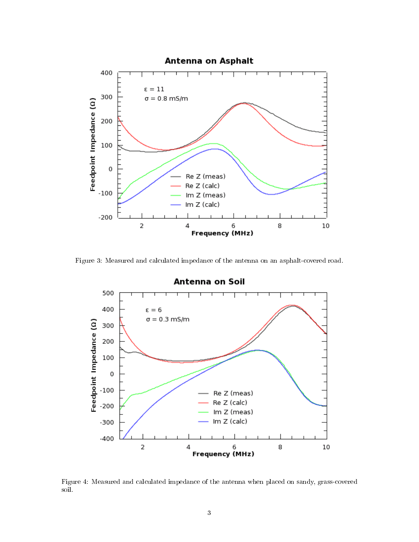

Figure 3: Measured and calculated impedance of the antenna on an asphalt-covered road.



Figure 4: Measured and calculated impedance of the antenna when placed on sandy, grass-covered soil.